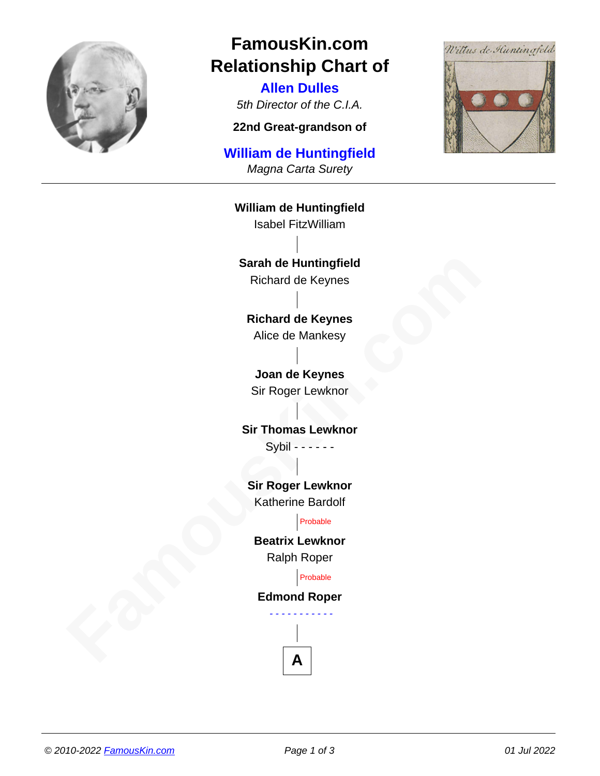

## **FamousKin.com Relationship Chart of**

**Allen Dulles** 5th Director of the C.I.A.

**22nd Great-grandson of**

## **William de Huntingfield**

Magna Carta Surety



Sarah de Huntingfield<br>
Fichard de Keynes<br> **Fachard de Keynes<br>
Alice de Mankesy<br>
Joan de Keynes<br>
Sir Roger Lewknor<br>
Sir Thomas Lewknor<br>
Sir Roger Lewknor<br>
Famos Lewknor<br>
Fachard Katherie Bardolf<br>
<b>Fachard Roger Lewknor**<br> **F William de Huntingfield** Isabel FitzWilliam **Sarah de Huntingfield** Richard de Keynes **Richard de Keynes** Alice de Mankesy **Joan de Keynes** Sir Roger Lewknor **Sir Thomas Lewknor** Sybil - - - - - - **Sir Roger Lewknor** Katherine Bardolf Probable **Beatrix Lewknor** Ralph Roper Probable **Edmond Roper** - - - - - - - - - - -

**A**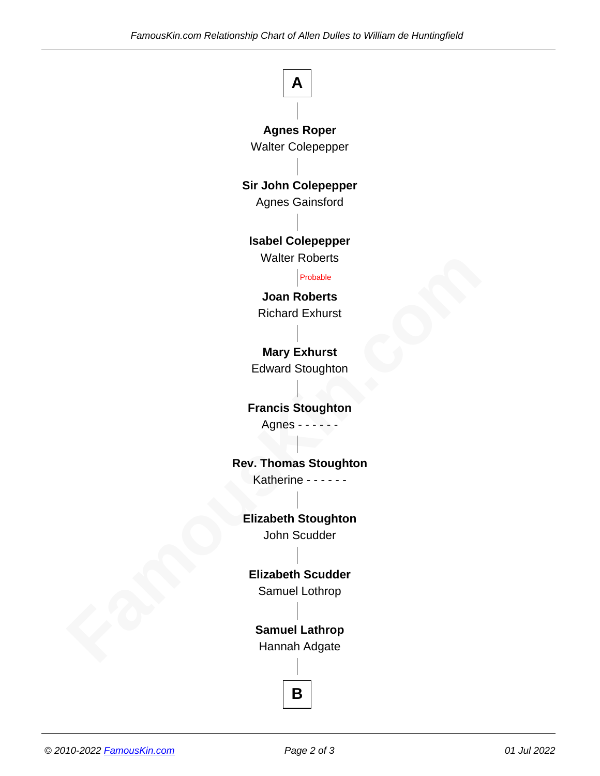